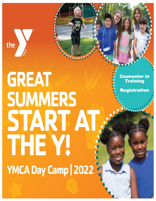

# **GREAT SUMMERS** START AT. THE Y! YMCA Day Camp | 2022

Counselor in **Training** 

Registration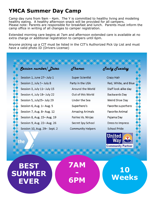# **YMCA Summer Day Camp**

Camp day runs from 9am - 4pm. The Y is committed to healthy living and modeling healthy eating. A healthy afternoon snack will be provided for all campers. Please note: Parents are responsible for breakfast and lunch. Parents must inform the camp office in writing of all changes to camper registration.

Extended morning care begins at 7am and afternoon extended care is available at no extra charge or additional registration to campers until 6pm.

Anyone picking up a CIT must be listed in the CIT's Authorized Pick Up List and must have a valid photo ID (Drivers License)

# **Session number/ Dates**

Session 1, June 27- July 1 Session 2, July 5- July 8 Session 3, July 11- July 15 Session 4, July 18- July 22 Session 5, July25- July 29 Session 6, Aug. 1– Aug. 5 Session 7, Aug. 8-Aug. 12 Session 8, Aug. 15 - Aug. 19 Session 9, Aug. 22- Aug. 26 Session 10, Aug. 29 Sept. 2  $$ 

Super Scientist Party in the USA Around the World Out of this World Under the Sea Superhero's **Amazing Animals** Fairies Vs. Ninjas Secret Spy School **Community Helpers** 

Jacky Juesday

Crazy Hair Red, White, and Blue Staff look alike day Backwards Dav Weird Shoe Day Favorite superhero **Favorite Animal** Pajama Day Dress to Impress **School Pride** 



the

**BEST SUMMER EVER**

**7AM - 6PM**

**10 Weeks**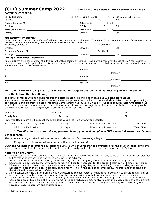# **(CIT) Summer Camp 2022 YMCA 5 Crane Street Clifton Springs, NY <sup>14432</sup>**

**PARTICIPANT PRO** 

| Child's Full Name<br>Address                                                                                                               | $\Box$ Male $\Box$ Female D.O.B. $\angle$ / Grade Completed in 06/22<br>Zip | <b>Philippines</b> and the contract of the contract of the contract of the contract of the contract of the contract of the contract of the contract of the contract of the contract of the contract of the contract of the contract |
|--------------------------------------------------------------------------------------------------------------------------------------------|-----------------------------------------------------------------------------|-------------------------------------------------------------------------------------------------------------------------------------------------------------------------------------------------------------------------------------|
| Parent/Guardian #1<br><u> 1980 - Jan Samuel Barbara, margaret e populazion del control del control del control del control de la provi</u> | Relationship                                                                | Email and the contract of the contract of the contract of the contract of the contract of the contract of the                                                                                                                       |
| Employer                                                                                                                                   | $D.O.B.$ / /                                                                | Cell in the contract of the contract of the contract of the contract of the contract of the contract of the co                                                                                                                      |
| Parent/Guardian #2<br>the contract of the contract of the contract of                                                                      | Relationship                                                                | Email <b>Exercise Service Service</b>                                                                                                                                                                                               |
| Employer<br>the contract of the contract of the contract of the contract of the contract of the contract of the                            | Office Ph                                                                   | Cell                                                                                                                                                                                                                                |

### **EMERGENCY INFORMATION:**

In the event of an emergency, YMCA staff will make every attempt to reach a parent/guardian. In the event that a parent/guardian cannot be reached, I authorize the following people to be contacted and act on my behalf:

| Emergency Contact #1 | Relationship |      |
|----------------------|--------------|------|
| Employer             | Office Ph    | Jel! |
| Emergency Contact #2 | Relationship |      |
| Employer             | Office Ph    | Cell |
|                      |              |      |

### **Pick-up Authorization Information**

Name, address and phone number of individuals other than parents authorized to pick up your child over the age of 16. A non-expired ID must be presented to the staff before a child will be released. Any special instructions such as custody or restraining orders must be attached and communicated to the Camp Director.

| #1 | Address | <u> 1980 - Jan Stein Bernstein, mars and de Brandenburg and de Brandenburg and de Brandenburg and de Brandenburg</u>  |
|----|---------|-----------------------------------------------------------------------------------------------------------------------|
|    |         | Phone $#$                                                                                                             |
| #2 | Address | <u> 1989 - Johann Harry Harry Harry Harry Harry Harry Harry Harry Harry Harry Harry Harry Harry Harry Harry Harry</u> |
|    |         | Phone $#$                                                                                                             |
| #3 | Address | <u> 1989 - Jan Sterlin Sterlin Sterlin Sterlin Sterlin Sterlin Sterlin Sterlin Sterlin Sterlin Sterlin Sterlin S</u>  |
|    |         | Phone $#$                                                                                                             |
|    |         |                                                                                                                       |

### **MEDICAL INFORMATION: (NYS Licensing regulations require the full name, address, & phone # for doctor.**

### **Hospital information is optional.)**

The YMCA complies with applicable federal and state disability discrimination laws and will consider reasonable accommodations and/or modifications to its policies and procedures to allow children with disabilities an equal opportunity to participate in this program. Please contact the Camp Director at (315) 462-6184 if your child requires accommodations. If you feel that an accommodation and/or enrollment request has been wrongfully denied based on disability, you may contact the Executive Director at Todd@csaymca.org to further discuss the matter.

| Physician <b>Executive Service Service Service</b> Service Service Service Service Service Service Service Service Service Service Service Service Service Service Service Service Service Service Service Service Service Service | Address               |                        | Ph |                     |  |
|------------------------------------------------------------------------------------------------------------------------------------------------------------------------------------------------------------------------------------|-----------------------|------------------------|----|---------------------|--|
|                                                                                                                                                                                                                                    | Address               |                        | Ph |                     |  |
| Preferred Hospital (We will request the EMTs take your child here whenever possible.) ______________                                                                                                                               |                       |                        |    |                     |  |
|                                                                                                                                                                                                                                    | Dosage ______________ | Time of Administration |    | $\Box$ am $\Box$ pm |  |
| <b>Additional Medication</b>                                                                                                                                                                                                       | Dosage                | Time of Administration |    | $\Box$ am $\Box$ pm |  |

*\* If medication is required during program hours, you must complete a NYS mandated Written Medication* 

*Consent form.*

Please list any allergies (Medication must be provided for all life threatening allergies.) \_\_\_\_\_\_\_\_

If exposed to this known allergen, what action should be taken?

**Over-the-Counter Medication:** I authorize the YMCA Summer Camp staff to administer over-the-counter topical ointments such as sunscreen, first aid ointments, itch reliever and topically applied insect repellent when needed. **Initial** \_\_\_\_\_\_\_\_\_

### **PARENT AGREEMENTS:**

- 1. I understand that I must provide at least 2 weeks written notice to withdraw from any camp session. I am responsible for full payment of any sessions not cancelled 2 weeks in advance.
- 2. In the event of an accident or injury, I authorize any and all emergency medical, dental, and/or surgical care and
- hospitalization advised by the physicians, surgeon or hospital necessary for the proper health & well-being of my child. 3. I have provided information on my child's special needs (allergies, diet, and/or medical) to the provider, as may be necessary to assist the facility in properly caring for my child in the case of an emergency. All information received by the YMCA will be treated as confidential.
- 4. I give consent for the Clifton Springs YMCA Directors to release personal healthcare information to program staff and/or medical professionals, when necessary, so that they may provide quality treatment and/or services for my child.
- 5. I give consent for photographs and video footage of the above named child to be used to promote the YMCA Summer Camp programs. Such promotional efforts may include brochures, posters, flyers, showing a video tape of a camp event, etc. In addition, I give consent for photographs to be displayed on the YMCA Lobby PowerPoint, YMCA Website, YMCA Facebook page, Instagram and Twitter pages.